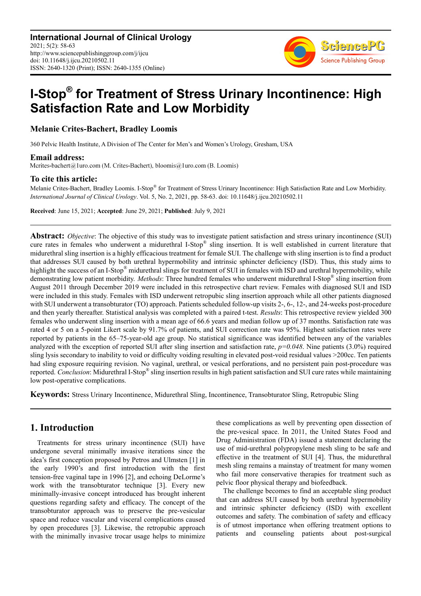

# I-Stop<sup>®</sup> for Treatment of Stress Urinary Incontinence: High Satisfaction Rate and Low Morbidity

Melanie Crites-Bachert, Bradley Loomis

360 Pelvic Health Institute, A Division of The Center for Men's and Women's Urology, Gresham, USA

**Email address:**<br>Mcrites-bachert@1uro.com (M. Crites-Bachert), bloomis@1uro.com (B. Loomis)

### To cite this article:

Melanie Crites-Bachert, Bradley Loomis. I-Stop® for Treatment of Stress Urinary Incontinence: High Satisfaction Rate and Low Morbidity. International Journal of Clinical Urology. Vol. 5, No. 2, 2021, pp. 58-63. doi: 10.11648/j.ijcu.20210502.11

Received: June 15, 2021; Accepted: June 29, 2021; Published: July 9, 2021

Abstract: *Objective*: The objective of this study was to investigate patient satisfaction and stress urinary incontinence (SUI) cure rates in females who underwent a midurethral I-Stop® sling insertion. It is well established in current literature that midurethral sling insertion is a highly efficacious treatment for female SUI. The challenge with sling insertion is to find a product that addresses SUI caused by both urethral hypermobility and intrinsic sphincter deficiency (ISD). Thus, this study aims to highlight the success of an I-Stop<sup>®</sup> midurethral slings for treatment of SUI in females with ISD and urethral hypermobility, while demonstrating low patient morbidity. Methods: Three hundred females who underwent midurethral I-Stop® sling insertion from August 2011 through December 2019 were included in this retrospective chart review. Females with diagnosed SUI and ISD were included in this study. Females with ISD underwent retropubic sling insertion approach while all other patients diagnosed with SUI underwent a transobturator (TO) approach. Patients scheduled follow-up visits 2-, 6-, 12-, and 24-weeks post-procedure and then yearly thereafter. Statistical analysis was completed with a paired t-test. Results: This retrospective review yielded 300 females who underwent sling insertion with a mean age of 66.6 years and median follow up of 37 months. Satisfaction rate was rated 4 or 5 on a 5-point Likert scale by 91.7% of patients, and SUI correction rate was 95%. Highest satisfaction rates were reported by patients in the 65–75-year-old age group. No statistical significance was identified between any of the variables analyzed with the exception of reported SUI after sling insertion and satisfaction rate,  $p=0.048$ . Nine patients (3.0%) required sling lysis secondary to inability to void or difficulty voiding resulting in elevated post-void residual values >200cc. Ten patients had sling exposure requiring revision. No vaginal, urethral, or vesical perforations, and no persistent pain post-procedure was reported. Conclusion: Midurethral I-Stop $\degree$  sling insertion results in high patient satisfaction and SUI cure rates while maintaining low post-operative complications.

Keywords: Stress Urinary Incontinence, Midurethral Sling, Incontinence, Transobturator Sling, Retropubic Sling

# 1. Introduction

Treatments for stress urinary incontinence (SUI) have undergone several minimally invasive iterations since the idea's first conception proposed by Petros and Ulmsten [1] in the early 1990's and first introduction with the first tension-free vaginal tape in 1996 [2], and echoing DeLorme's work with the transobturator technique [3]. Every new minimally-invasive concept introduced has brought inherent questions regarding safety and efficacy. The concept of the transobturator approach was to preserve the pre-vesicular space and reduce vascular and visceral complications caused by open procedures [3]. Likewise, the retropubic approach with the minimally invasive trocar usage helps to minimize

these complications as well by preventing open dissection of the pre-vesical space. In 2011, the United States Food and Drug Administration (FDA) issued a statement declaring the use of mid-urethral polypropylene mesh sling to be safe and effective in the treatment of SUI [4]. Thus, the midurethral mesh sling remains a mainstay of treatment for many women who fail more conservative therapies for treatment such as pelvic floor physical therapy and biofeedback.

The challenge becomes to find an acceptable sling product that can address SUI caused by both urethral hypermobility and intrinsic sphincter deficiency (ISD) with excellent outcomes and safety. The combination of safety and efficacy is of utmost importance when offering treatment options to patients and counseling patients about post-surgical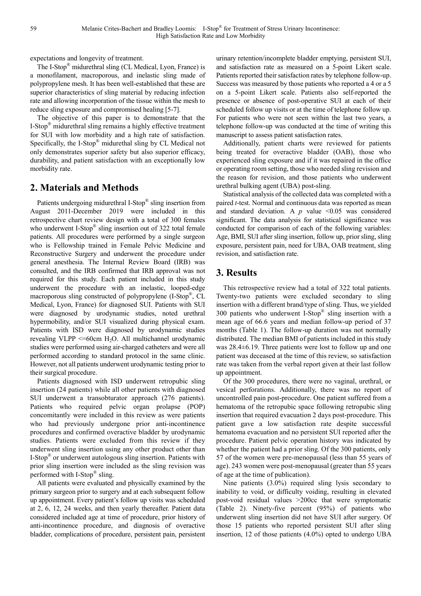expectations and longevity of treatment.

The I-Stop® midurethral sling (CL Medical, Lyon, France) is a monofilament, macroporous, and inelastic sling made of polypropylene mesh. It has been well-established that these are superior characteristics of sling material by reducing infection rate and allowing incorporation of the tissue within the mesh to reduce sling exposure and compromised healing [5-7].

The objective of this paper is to demonstrate that the I-Stop® midurethral sling remains a highly effective treatment for SUI with low morbidity and a high rate of satisfaction. Specifically, the I-Stop® midurethal sling by CL Medical not only demonstrates superior safety but also superior efficacy, durability, and patient satisfaction with an exceptionally low morbidity rate.

# 2. Materials and Methods

Patients undergoing midurethral I-Stop® sling insertion from August 2011-December 2019 were included in this retrospective chart review design with a total of 300 females who underwent I-Stop<sup>®</sup> sling insertion out of 322 total female patients. All procedures were performed by a single surgeon who is Fellowship trained in Female Pelvic Medicine and Reconstructive Surgery and underwent the procedure under general anesthesia. The Internal Review Board (IRB) was consulted, and the IRB confirmed that IRB approval was not required for this study. Each patient included in this study underwent the procedure with an inelastic, looped-edge macroporous sling constructed of polypropylene (I-Stop®, CL Medical, Lyon, France) for diagnosed SUI. Patients with SUI were diagnosed by urodynamic studies, noted urethral hypermobility, and/or SUI visualized during physical exam. Patients with ISD were diagnosed by urodynamic studies revealing VLPP  $\leq$ =60cm H<sub>2</sub>O. All multichannel urodynamic studies were performed using air-charged catheters and were all performed according to standard protocol in the same clinic. However, not all patients underwent urodynamic testing prior to their surgical procedure.

Patients diagnosed with ISD underwent retropubic sling insertion (24 patients) while all other patients with diagnosed SUI underwent a transobturator approach (276 patients). Patients who required pelvic organ prolapse (POP) concomitantly were included in this review as were patients who had previously undergone prior anti-incontinence procedures and confirmed overactive bladder by urodynamic studies. Patients were excluded from this review if they underwent sling insertion using any other product other than I-Stop® or underwent autologous sling insertion. Patients with prior sling insertion were included as the sling revision was performed with I-Stop® sling.

All patients were evaluated and physically examined by the primary surgeon prior to surgery and at each subsequent follow up appointment. Every patient's follow up visits was scheduled at 2, 6, 12, 24 weeks, and then yearly thereafter. Patient data considered included age at time of procedure, prior history of anti-incontinence procedure, and diagnosis of overactive bladder, complications of procedure, persistent pain, persistent

urinary retention/incomplete bladder emptying, persistent SUI, and satisfaction rate as measured on a 5-point Likert scale. Patients reported their satisfaction rates by telephone follow-up. Success was measured by those patients who reported a 4 or a 5 on a 5-point Likert scale. Patients also self-reported the presence or absence of post-operative SUI at each of their scheduled follow up visits or at the time of telephone follow up. For patients who were not seen within the last two years, a telephone follow-up was conducted at the time of writing this manuscript to assess patient satisfaction rates.

Additionally, patient charts were reviewed for patients being treated for overactive bladder (OAB), those who experienced sling exposure and if it was repaired in the office or operating room setting, those who needed sling revision and the reason for revision, and those patients who underwent urethral bulking agent (UBA) post-sling.

Statistical analysis of the collected data was completed with a paired t-test. Normal and continuous data was reported as mean and standard deviation. A  $p$  value <0.05 was considered significant. The data analysis for statistical significance was conducted for comparison of each of the following variables: Age, BMI, SUI after sling insertion, follow up, prior sling, sling exposure, persistent pain, need for UBA, OAB treatment, sling revision, and satisfaction rate.

# 3. Results

This retrospective review had a total of 322 total patients. Twenty-two patients were excluded secondary to sling insertion with a different brand/type of sling. Thus, we yielded 300 patients who underwent I-Stop® sling insertion with a mean age of 66.6 years and median follow-up period of 37 months (Table 1). The follow-up duration was not normally distributed. The median BMI of patients included in this study was 28.4±6.19. Three patients were lost to follow up and one patient was deceased at the time of this review, so satisfaction rate was taken from the verbal report given at their last follow up appointment.

Of the 300 procedures, there were no vaginal, urethral, or vesical perforations. Additionally, there was no report of uncontrolled pain post-procedure. One patient suffered from a hematoma of the retropubic space following retropubic sling insertion that required evacuation 2 days post-procedure. This patient gave a low satisfaction rate despite successful hematoma evacuation and no persistent SUI reported after the procedure. Patient pelvic operation history was indicated by whether the patient had a prior sling. Of the 300 patients, only 57 of the women were pre-menopausal (less than 55 years of age). 243 women were post-menopausal (greater than 55 years of age at the time of publication).

Nine patients (3.0%) required sling lysis secondary to inability to void, or difficulty voiding, resulting in elevated post-void residual values >200cc that were symptomatic (Table 2). Ninety-five percent (95%) of patients who underwent sling insertion did not have SUI after surgery. Of those 15 patients who reported persistent SUI after sling insertion, 12 of those patients (4.0%) opted to undergo UBA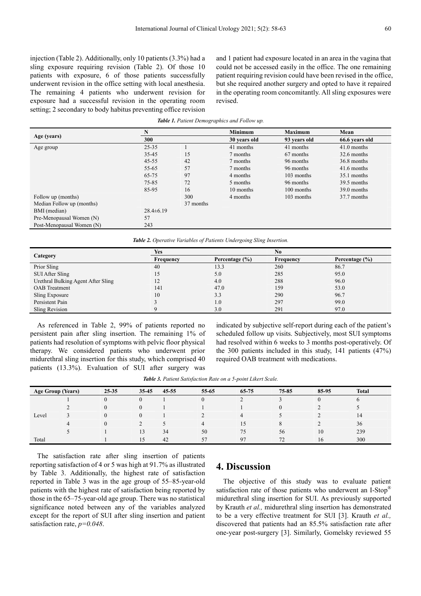injection (Table 2). Additionally, only 10 patients (3.3%) had a sling exposure requiring revision (Table 2). Of those 10 patients with exposure, 6 of those patients successfully underwent revision in the office setting with local anesthesia. The remaining 4 patients who underwent revision for exposure had a successful revision in the operating room setting; 2 secondary to body habitus preventing office revision and 1 patient had exposure located in an area in the vagina that could not be accessed easily in the office. The one remaining patient requiring revision could have been revised in the office, but she required another surgery and opted to have it repaired in the operating room concomitantly. All sling exposures were revised.

|                           | N<br>300       |           | <b>Minimum</b> | <b>Maximum</b> | Mean<br>66.6 years old |  |
|---------------------------|----------------|-----------|----------------|----------------|------------------------|--|
| Age (years)               |                |           | 30 years old   | 93 years old   |                        |  |
| Age group                 | 25-35          |           | 41 months      | 41 months      | 41.0 months            |  |
|                           | 35-45          | 15        | 7 months       | 67 months      | 32.6 months            |  |
|                           | $45 - 55$      | 42        | 7 months       | 96 months      | 36.8 months            |  |
|                           | 55-65          | 57        | 7 months       | 96 months      | 41.6 months            |  |
|                           | 65-75          | 97        | 4 months       | 103 months     | 35.1 months            |  |
|                           | 75-85          | 72        | 5 months       | 96 months      | 39.5 months            |  |
|                           | 85-95          | 16        | 10 months      | 100 months     | 39.0 months            |  |
| Follow up (months)        |                | 300       | 4 months       | 103 months     | 37.7 months            |  |
| Median Follow up (months) |                | 37 months |                |                |                        |  |
| BMI (median)              | $28.4\pm 6.19$ |           |                |                |                        |  |
| Pre-Menopausal Women (N)  | 57             |           |                |                |                        |  |
| Post-Menopausal Women (N) | 243            |           |                |                |                        |  |

Table 2. Operative Variables of Patients Undergoing Sling Insertion.

|                                    | Yes       |                    | No        |                    |  |
|------------------------------------|-----------|--------------------|-----------|--------------------|--|
| Category                           | Frequency | Percentage $(\% )$ | Frequency | Percentage $(\% )$ |  |
| Prior Sling                        | 40        | 13.3               | 260       | 86.7               |  |
| SUI After Sling                    | 15        | 5.0                | 285       | 95.0               |  |
| Urethral Bulking Agent After Sling | 12        | 4.0                | 288       | 96.0               |  |
| <b>OAB</b> Treatment               | 141       | 47.0               | 159       | 53.0               |  |
| Sling Exposure                     | 10        | 3.3                | 290       | 96.7               |  |
| Persistent Pain                    |           | 1.0                | 297       | 99.0               |  |
| Sling Revision                     |           | 3.0                | 291       | 97.0               |  |

As referenced in Table 2, 99% of patients reported no persistent pain after sling insertion. The remaining 1% of patients had resolution of symptoms with pelvic floor physical therapy. We considered patients who underwent prior midurethral sling insertion for this study, which comprised 40 patients (13.3%). Evaluation of SUI after surgery was

indicated by subjective self-report during each of the patient's scheduled follow up visits. Subjectively, most SUI symptoms had resolved within 6 weeks to 3 months post-operatively. Of the 300 patients included in this study, 141 patients (47%) required OAB treatment with medications.

Table 3. Patient Satisfaction Rate on a 5-point Likert Scale.

| <b>Age Group (Years)</b> | 25-35    | 35-45  | 45-55 | 55-65          | 65-75 | 75-85 | 85-95            | <b>Total</b> |  |
|--------------------------|----------|--------|-------|----------------|-------|-------|------------------|--------------|--|
| Level                    | $\Omega$ | $_{0}$ |       | $\Omega$       |       |       | $\boldsymbol{0}$ | O            |  |
|                          | $\Omega$ | 0      |       |                |       |       |                  |              |  |
|                          | $\theta$ | 0      |       |                | 4     |       |                  | 14           |  |
|                          | $\theta$ |        |       | $\overline{4}$ | 15    |       |                  | 36           |  |
|                          |          | 13     | 34    | 50             | 75    | 56    | 10               | 239          |  |
| Total                    |          | 15     | 42    | 57             | 97    | 72    | 16               | 300          |  |

The satisfaction rate after sling insertion of patients reporting satisfaction of 4 or 5 was high at 91.7% as illustrated by Table 3. Additionally, the highest rate of satisfaction reported in Table 3 was in the age group of 55–85-year-old patients with the highest rate of satisfaction being reported by those in the 65–75-year-old age group. There was no statistical significance noted between any of the variables analyzed except for the report of SUI after sling insertion and patient satisfaction rate,  $p=0.048$ .

### 4. Discussion

The objective of this study was to evaluate patient satisfaction rate of those patients who underwent an I-Stop<sup>®</sup> midurethral sling insertion for SUI. As previously supported by Krauth et al., midurethral sling insertion has demonstrated to be a very effective treatment for SUI [3]. Krauth et al., discovered that patients had an 85.5% satisfaction rate after one-year post-surgery [3]. Similarly, Gomelsky reviewed 55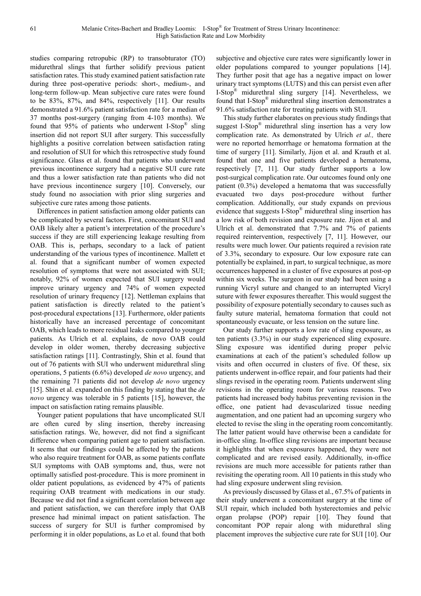studies comparing retropubic (RP) to transobturator (TO) midurethral slings that further solidify previous patient satisfaction rates. This study examined patient satisfaction rate during three post-operative periods: short-, medium-, and long-term follow-up. Mean subjective cure rates were found to be 83%, 87%, and 84%, respectively [11]. Our results demonstrated a 91.6% patient satisfaction rate for a median of 37 months post-surgery (ranging from 4-103 months). We found that 95% of patients who underwent I-Stop® sling insertion did not report SUI after surgery. This successfully highlights a positive correlation between satisfaction rating and resolution of SUI for which this retrospective study found significance. Glass et al. found that patients who underwent previous incontinence surgery had a negative SUI cure rate and thus a lower satisfaction rate than patients who did not have previous incontinence surgery [10]. Conversely, our study found no association with prior sling surgeries and subjective cure rates among those patients.

Differences in patient satisfaction among older patients can be complicated by several factors. First, concomitant SUI and OAB likely alter a patient's interpretation of the procedure's success if they are still experiencing leakage resulting from OAB. This is, perhaps, secondary to a lack of patient understanding of the various types of incontinence. Mallett et al. found that a significant number of women expected resolution of symptoms that were not associated with SUI; notably, 92% of women expected that SUI surgery would improve urinary urgency and 74% of women expected resolution of urinary frequency [12]. Nettleman explains that patient satisfaction is directly related to the patient's post-procedural expectations [13]. Furthermore, older patients historically have an increased percentage of concomitant OAB, which leads to more residual leaks compared to younger patients. As Ulrich et al. explains, de novo OAB could develop in older women, thereby decreasing subjective satisfaction ratings [11]. Contrastingly, Shin et al. found that out of 76 patients with SUI who underwent midurethral sling operations, 5 patients (6.6%) developed de novo urgency, and the remaining 71 patients did not develop de novo urgency [15]. Shin et al. expanded on this finding by stating that the de novo urgency was tolerable in 5 patients [15], however, the impact on satisfaction rating remains plausible.

Younger patient populations that have uncomplicated SUI are often cured by sling insertion, thereby increasing satisfaction ratings. We, however, did not find a significant difference when comparing patient age to patient satisfaction. It seems that our findings could be affected by the patients who also require treatment for OAB, as some patients conflate SUI symptoms with OAB symptoms and, thus, were not optimally satisfied post-procedure. This is more prominent in older patient populations, as evidenced by 47% of patients requiring OAB treatment with medications in our study. Because we did not find a significant correlation between age and patient satisfaction, we can therefore imply that OAB presence had minimal impact on patient satisfaction. The success of surgery for SUI is further compromised by performing it in older populations, as Lo et al. found that both subjective and objective cure rates were significantly lower in older populations compared to younger populations [14]. They further posit that age has a negative impact on lower urinary tract symptoms (LUTS) and this can persist even after I-Stop® midurethral sling surgery [14]. Nevertheless, we found that I-Stop® midurethral sling insertion demonstrates a 91.6% satisfaction rate for treating patients with SUI.

This study further elaborates on previous study findings that suggest I-Stop® midurethral sling insertion has a very low complication rate. As demonstrated by Ulrich et al., there were no reported hemorrhage or hematoma formation at the time of surgery [11]. Similarly, Jijon et al. and Krauth et al. found that one and five patients developed a hematoma, respectively [7, 11]. Our study further supports a low post-surgical complication rate. Our outcomes found only one patient (0.3%) developed a hematoma that was successfully evacuated two days post-procedure without further complication. Additionally, our study expands on previous evidence that suggests I-Stop® midurethral sling insertion has a low risk of both revision and exposure rate. Jijon et al. and Ulrich et al. demonstrated that 7.7% and 7% of patients required reintervention, respectively [7, 11]. However, our results were much lower. Our patients required a revision rate of 3.3%, secondary to exposure. Our low exposure rate can potentially be explained, in part, to surgical technique, as more occurrences happened in a cluster of five exposures at post-op within six weeks. The surgeon in our study had been using a running Vicryl suture and changed to an interrupted Vicryl suture with fewer exposures thereafter. This would suggest the possibility of exposure potentially secondary to causes such as faulty suture material, hematoma formation that could not spontaneously evacuate, or less tension on the suture line.

Our study further supports a low rate of sling exposure, as ten patients (3.3%) in our study experienced sling exposure. Sling exposure was identified during proper pelvic examinations at each of the patient's scheduled follow up visits and often occurred in clusters of five. Of these, six patients underwent in-office repair, and four patients had their slings revised in the operating room. Patients underwent sling revisions in the operating room for various reasons. Two patients had increased body habitus preventing revision in the office, one patient had devascularized tissue needing augmentation, and one patient had an upcoming surgery who elected to revise the sling in the operating room concomitantly. The latter patient would have otherwise been a candidate for in-office sling. In-office sling revisions are important because it highlights that when exposures happened, they were not complicated and are revised easily. Additionally, in-office revisions are much more accessible for patients rather than revisiting the operating room. All 10 patients in this study who had sling exposure underwent sling revision.

As previously discussed by Glass et al., 67.5% of patients in their study underwent a concomitant surgery at the time of SUI repair, which included both hysterectomies and pelvic organ prolapse (POP) repair [10]. They found that concomitant POP repair along with midurethral sling placement improves the subjective cure rate for SUI [10]. Our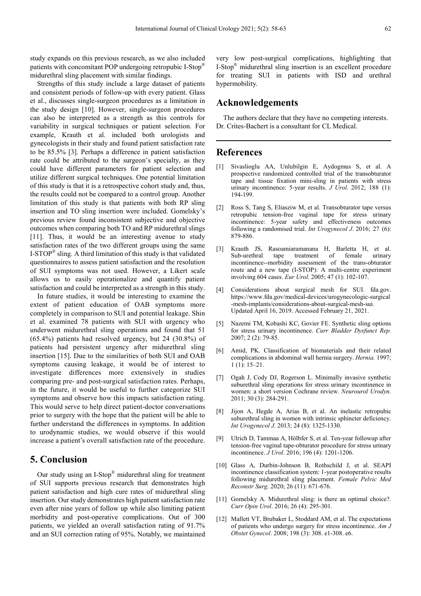study expands on this previous research, as we also included patients with concomitant POP undergoing retropubic I-Stop® midurethral sling placement with similar findings.

Strengths of this study include a large dataset of patients and consistent periods of follow-up with every patient. Glass et al., discusses single-surgeon procedures as a limitation in the study design [10]. However, single-surgeon procedures can also be interpreted as a strength as this controls for variability in surgical techniques or patient selection. For example, Krauth et al. included both urologists and gynecologists in their study and found patient satisfaction rate to be 85.5% [3]. Perhaps a difference in patient satisfaction rate could be attributed to the surgeon's specialty, as they could have different parameters for patient selection and utilize different surgical techniques. One potential limitation of this study is that it is a retrospective cohort study and, thus, the results could not be compared to a control group. Another limitation of this study is that patients with both RP sling insertion and TO sling insertion were included. Gomelsky's previous review found inconsistent subjective and objective outcomes when comparing both TO and RP midurethral slings [11]. Thus, it would be an interesting avenue to study satisfaction rates of the two different groups using the same  $I-STOP^{\otimes}$  sling. A third limitation of this study is that validated questionnaires to assess patient satisfaction and the resolution of SUI symptoms was not used. However, a Likert scale allows us to easily operationalize and quantify patient satisfaction and could be interpreted as a strength in this study.

In future studies, it would be interesting to examine the extent of patient education of OAB symptoms more completely in comparison to SUI and potential leakage. Shin et al. examined 78 patients with SUI with urgency who underwent midurethral sling operations and found that 51 (65.4%) patients had resolved urgency, but 24 (30.8%) of patients had persistent urgency after midurethral sling insertion [15]. Due to the similarities of both SUI and OAB symptoms causing leakage, it would be of interest to investigate differences more extensively in studies comparing pre- and post-surgical satisfaction rates. Perhaps, in the future, it would be useful to further categorize SUI symptoms and observe how this impacts satisfaction rating. This would serve to help direct patient-doctor conversations prior to surgery with the hope that the patient will be able to further understand the differences in symptoms. In addition to urodynamic studies, we would observe if this would increase a patient's overall satisfaction rate of the procedure.

# 5. Conclusion

Our study using an I-Stop® midurethral sling for treatment of SUI supports previous research that demonstrates high patient satisfaction and high cure rates of midurethral sling insertion. Our study demonstrates high patient satisfaction rate even after nine years of follow up while also limiting patient morbidity and post-operative complications. Out of 300 patients, we yielded an overall satisfaction rating of 91.7% and an SUI correction rating of 95%. Notably, we maintained

very low post-surgical complications, highlighting that I-Stop® midurethral sling insertion is an excellent procedure for treating SUI in patients with ISD and urethral hypermobility.

# Acknowledgements

The authors declare that they have no competing interests. Dr. Crites-Bachert is a consultant for CL Medical.

### References

- [1] Sivaslioglu AA, Unlubilgin E, Aydogmus S, et al. A prospective randomized controlled trial of the transobturator tape and tissue fixation mini-sling in patients with stress urinary incontinence: 5-year results. *J Urol.* 2012; 188 (1): 194-199.
- [2] Ross S, Tang S, Eliasziw M, et al. Transobturator tape versus retropubic tension-free vaginal tape for stress urinary incontinence: 5-year safety and effectiveness outcomes following a randomised trial. Int Urogynecol J. 2016; 27 (6): 879-886.
- [3] Krauth JS, Rasoamiaramanana H, Barletta H, et al. Sub-urethral tape treatment of female urinary incontinence--morbidity assessment of the trans-obturator route and a new tape (I-STOP): A multi-centre experiment involving 604 cases. Eur Urol. 2005; 47 (1): 102-107.
- [4] Considerations about surgical mesh for SUI. fda.gov. https://www.fda.gov/medical-devices/urogynecologic-surgical -mesh-implants/considerations-about-surgical-mesh-sui. Updated April 16, 2019. Accessed February 21, 2021.
- [5] Nazemi TM, Kobashi KC, Govier FE. Synthetic sling options for stress urinary incontinence. Curr Bladder Dysfunct Rep. 2007; 2 (2): 79-85.
- [6] Amid, PK. Classification of biomaterials and their related complications in abdominal wall hernia surgery. Hernia. 1997; 1 (1): 15–21.
- [7] Ogah J, Cody DJ, Rogerson L. Minimally invasive synthetic suburethral sling operations for stress urinary incontinence in women: a short version Cochrane review. Neurourol Urodyn. 2011; 30 (3): 284-291.
- [8] Jijon A, Hegde A, Arias B, et al. An inelastic retropubic suburethral sling in women with intrinsic sphincter deficiency. Int Urogynecol J. 2013; 24 (8): 1325-1330.
- [9] Ulrich D, Tammaa A, Hölbfer S, et al. Ten-year followup after tension-free vaginal tape-obturator procedure for stress urinary incontinence. J Urol. 2016; 196 (4): 1201-1206.
- [10] Glass A, Durbin-Johnson B, Rothschild J, et al. SEAPI incontinence classification system: 1-year postoperative results following midurethral sling placement. Female Pelvic Med Reconstr Surg. 2020; 26 (11): 671-676.
- [11] Gomelsky A. Midurethral sling: is there an optimal choice?. Curr Opin Urol. 2016; 26 (4): 295-301.
- [12] Mallett VT, Brubaker L, Stoddard AM, et al. The expectations of patients who undergo surgery for stress incontinence. Am J Obstet Gynecol. 2008; 198 (3): 308. e1-308. e6.